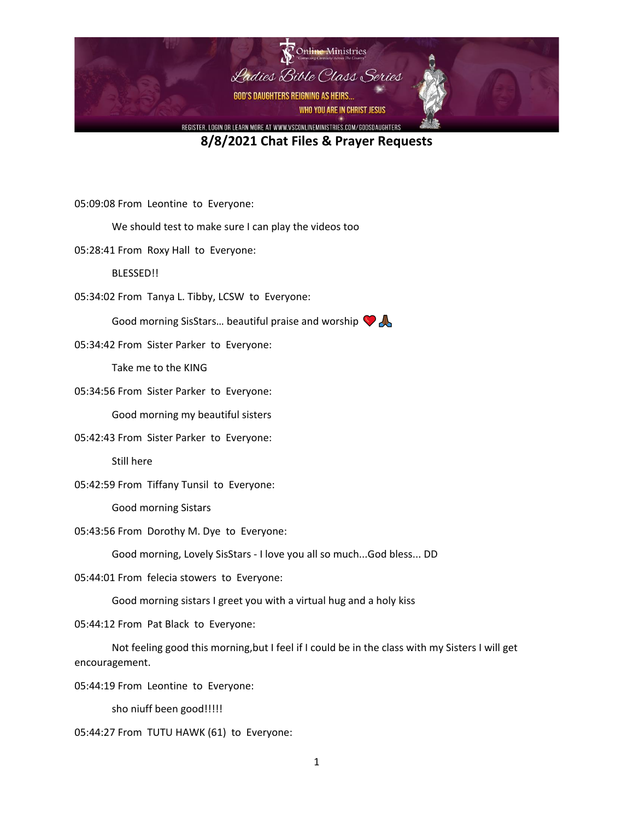

05:09:08 From Leontine to Everyone:

We should test to make sure I can play the videos too

05:28:41 From Roxy Hall to Everyone:

BLESSED!!

05:34:02 From Tanya L. Tibby, LCSW to Everyone:

Good morning SisStars... beautiful praise and worship  $\bigcirc$ 

05:34:42 From Sister Parker to Everyone:

Take me to the KING

05:34:56 From Sister Parker to Everyone:

Good morning my beautiful sisters

05:42:43 From Sister Parker to Everyone:

Still here

05:42:59 From Tiffany Tunsil to Everyone:

Good morning Sistars

05:43:56 From Dorothy M. Dye to Everyone:

Good morning, Lovely SisStars - I love you all so much...God bless... DD

05:44:01 From felecia stowers to Everyone:

Good morning sistars I greet you with a virtual hug and a holy kiss

05:44:12 From Pat Black to Everyone:

Not feeling good this morning,but I feel if I could be in the class with my Sisters I will get encouragement.

05:44:19 From Leontine to Everyone:

sho niuff been good!!!!!

05:44:27 From TUTU HAWK (61) to Everyone: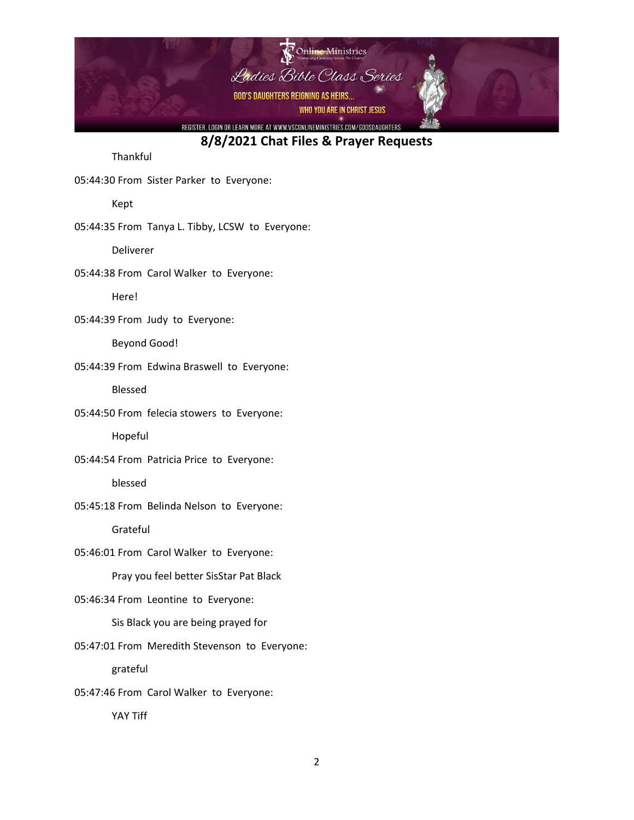

Thankful

05:44:30 From Sister Parker to Everyone:

Kept

05:44:35 From Tanya L. Tibby, LCSW to Everyone:

Deliverer

05:44:38 From Carol Walker to Everyone:

Here!

05:44:39 From Judy to Everyone:

Beyond Good!

05:44:39 From Edwina Braswell to Everyone:

Blessed

05:44:50 From felecia stowers to Everyone:

Hopeful

05:44:54 From Patricia Price to Everyone:

blessed

05:45:18 From Belinda Nelson to Everyone:

Grateful

05:46:01 From Carol Walker to Everyone:

Pray you feel better SisStar Pat Black

05:46:34 From Leontine to Everyone:

Sis Black you are being prayed for

05:47:01 From Meredith Stevenson to Everyone:

grateful

05:47:46 From Carol Walker to Everyone:

YAY Tiff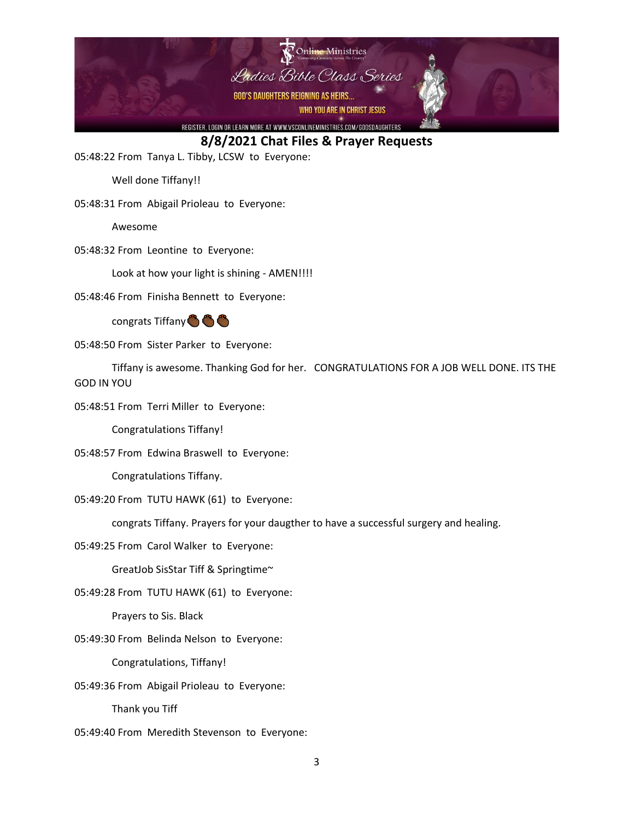

05:48:22 From Tanya L. Tibby, LCSW to Everyone:

Well done Tiffany!!

05:48:31 From Abigail Prioleau to Everyone:

Awesome

05:48:32 From Leontine to Everyone:

Look at how your light is shining - AMEN!!!!

05:48:46 From Finisha Bennett to Everyone:

congrats Tiffany & & &

05:48:50 From Sister Parker to Everyone:

Tiffany is awesome. Thanking God for her. CONGRATULATIONS FOR A JOB WELL DONE. ITS THE GOD IN YOU

05:48:51 From Terri Miller to Everyone:

Congratulations Tiffany!

05:48:57 From Edwina Braswell to Everyone:

Congratulations Tiffany.

05:49:20 From TUTU HAWK (61) to Everyone:

congrats Tiffany. Prayers for your daugther to have a successful surgery and healing.

05:49:25 From Carol Walker to Everyone:

GreatJob SisStar Tiff & Springtime~

05:49:28 From TUTU HAWK (61) to Everyone:

Prayers to Sis. Black

05:49:30 From Belinda Nelson to Everyone:

Congratulations, Tiffany!

05:49:36 From Abigail Prioleau to Everyone:

Thank you Tiff

05:49:40 From Meredith Stevenson to Everyone: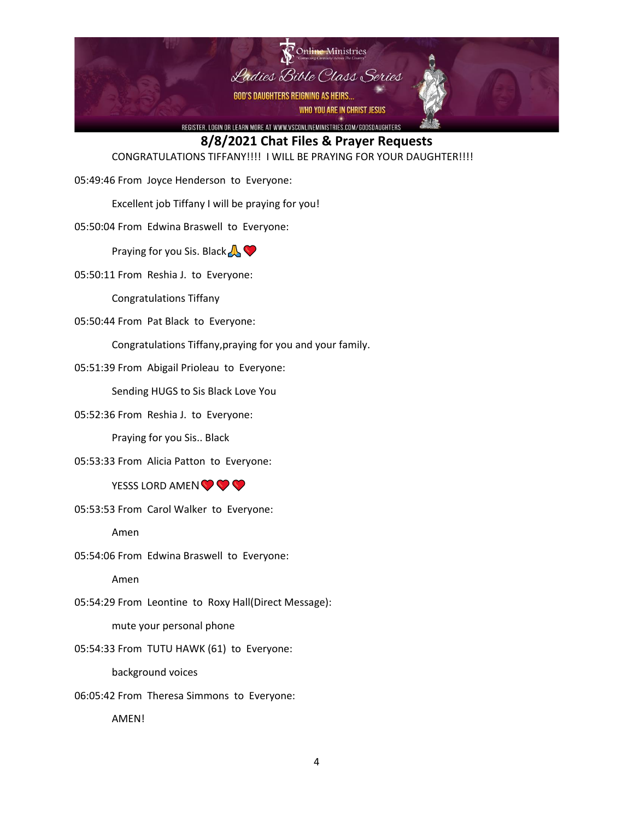

CONGRATULATIONS TIFFANY!!!! I WILL BE PRAYING FOR YOUR DAUGHTER!!!!

05:49:46 From Joyce Henderson to Everyone:

Excellent job Tiffany I will be praying for you!

05:50:04 From Edwina Braswell to Everyone:

Praying for you Sis. Black  $\bigwedge$ 

05:50:11 From Reshia J. to Everyone:

Congratulations Tiffany

05:50:44 From Pat Black to Everyone:

Congratulations Tiffany,praying for you and your family.

05:51:39 From Abigail Prioleau to Everyone:

Sending HUGS to Sis Black Love You

05:52:36 From Reshia J. to Everyone:

Praying for you Sis.. Black

05:53:33 From Alicia Patton to Everyone:

#### YESSS LORD AMEN  $\bigcirc \bigcirc$

05:53:53 From Carol Walker to Everyone:

Amen

05:54:06 From Edwina Braswell to Everyone:

Amen

05:54:29 From Leontine to Roxy Hall(Direct Message):

mute your personal phone

05:54:33 From TUTU HAWK (61) to Everyone:

background voices

06:05:42 From Theresa Simmons to Everyone:

AMEN!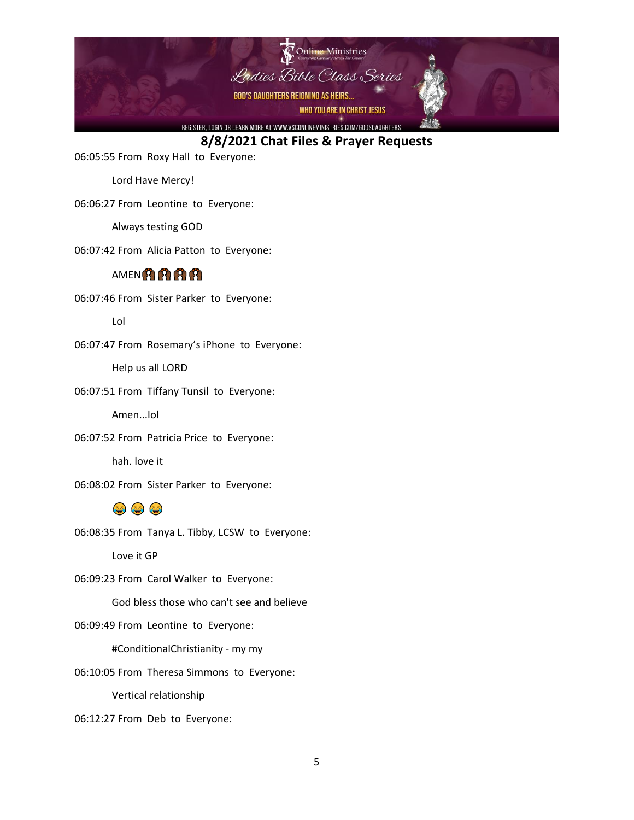

06:05:55 From Roxy Hall to Everyone:

Lord Have Mercy!

06:06:27 From Leontine to Everyone:

Always testing GOD

06:07:42 From Alicia Patton to Everyone:

#### **AMENARE**

06:07:46 From Sister Parker to Everyone:

Lol

06:07:47 From Rosemary's iPhone to Everyone:

Help us all LORD

06:07:51 From Tiffany Tunsil to Everyone:

Amen...lol

06:07:52 From Patricia Price to Everyone:

hah. love it

06:08:02 From Sister Parker to Everyone:

### 000

06:08:35 From Tanya L. Tibby, LCSW to Everyone:

Love it GP

06:09:23 From Carol Walker to Everyone:

God bless those who can't see and believe

06:09:49 From Leontine to Everyone:

#ConditionalChristianity - my my

06:10:05 From Theresa Simmons to Everyone:

Vertical relationship

06:12:27 From Deb to Everyone: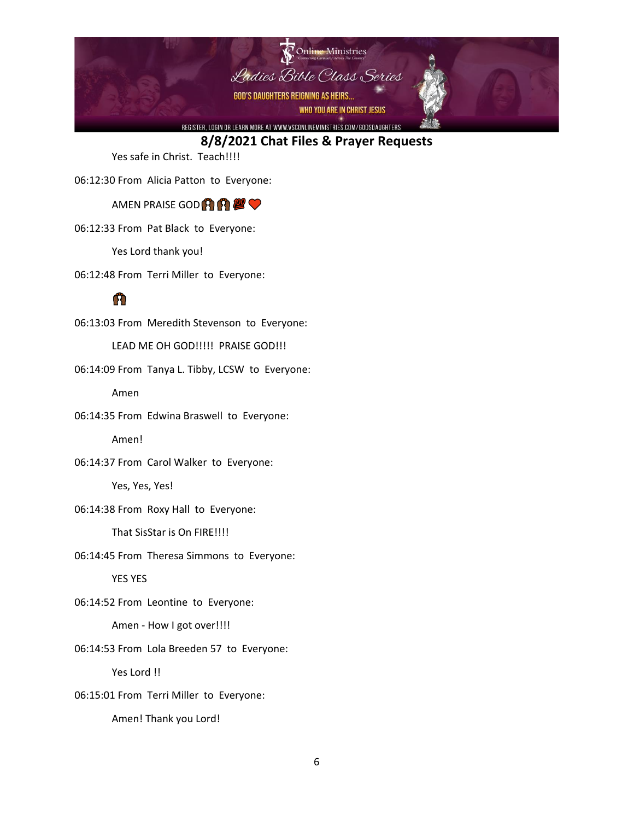

Yes safe in Christ. Teach!!!!

06:12:30 From Alicia Patton to Everyone:

AMEN PRAISE GOD<sup>2</sup>1 **A** 

06:12:33 From Pat Black to Everyone:

Yes Lord thank you!

06:12:48 From Terri Miller to Everyone:

# m

06:13:03 From Meredith Stevenson to Everyone:

LEAD ME OH GOD!!!!! PRAISE GOD!!!

06:14:09 From Tanya L. Tibby, LCSW to Everyone:

Amen

06:14:35 From Edwina Braswell to Everyone:

Amen!

06:14:37 From Carol Walker to Everyone:

Yes, Yes, Yes!

06:14:38 From Roxy Hall to Everyone:

That SisStar is On FIRE!!!!

06:14:45 From Theresa Simmons to Everyone:

YES YES

06:14:52 From Leontine to Everyone:

Amen - How I got over!!!!

06:14:53 From Lola Breeden 57 to Everyone:

Yes Lord !!

06:15:01 From Terri Miller to Everyone:

Amen! Thank you Lord!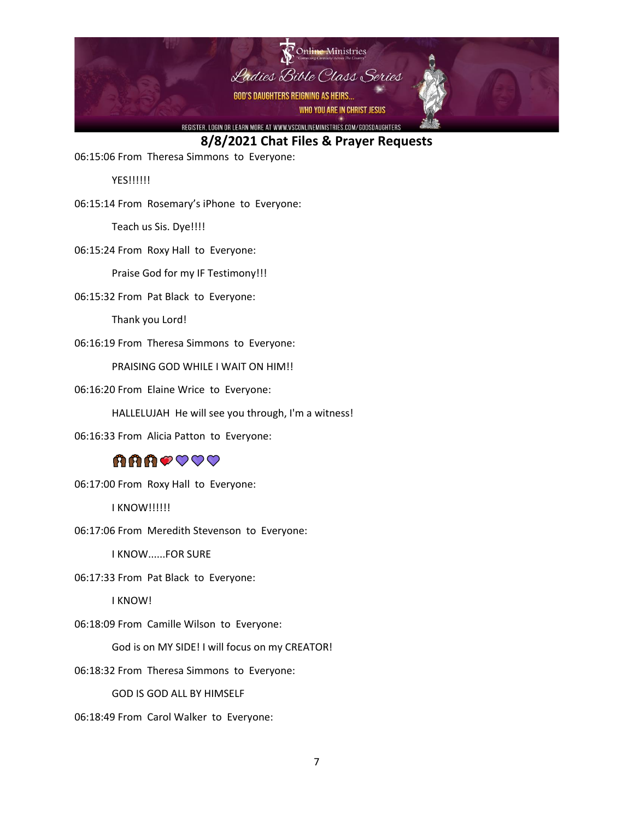

06:15:06 From Theresa Simmons to Everyone:

YES!!!!!!

06:15:14 From Rosemary's iPhone to Everyone:

Teach us Sis. Dye!!!!

06:15:24 From Roxy Hall to Everyone:

Praise God for my IF Testimony!!!

06:15:32 From Pat Black to Everyone:

Thank you Lord!

06:16:19 From Theresa Simmons to Everyone:

PRAISING GOD WHILE I WAIT ON HIM!!

06:16:20 From Elaine Wrice to Everyone:

HALLELUJAH He will see you through, I'm a witness!

06:16:33 From Alicia Patton to Everyone:

## **AAAOOOO**

06:17:00 From Roxy Hall to Everyone:

I KNOW!!!!!!

06:17:06 From Meredith Stevenson to Everyone:

I KNOW......FOR SURE

06:17:33 From Pat Black to Everyone:

I KNOW!

06:18:09 From Camille Wilson to Everyone:

God is on MY SIDE! I will focus on my CREATOR!

06:18:32 From Theresa Simmons to Everyone:

GOD IS GOD ALL BY HIMSELF

06:18:49 From Carol Walker to Everyone: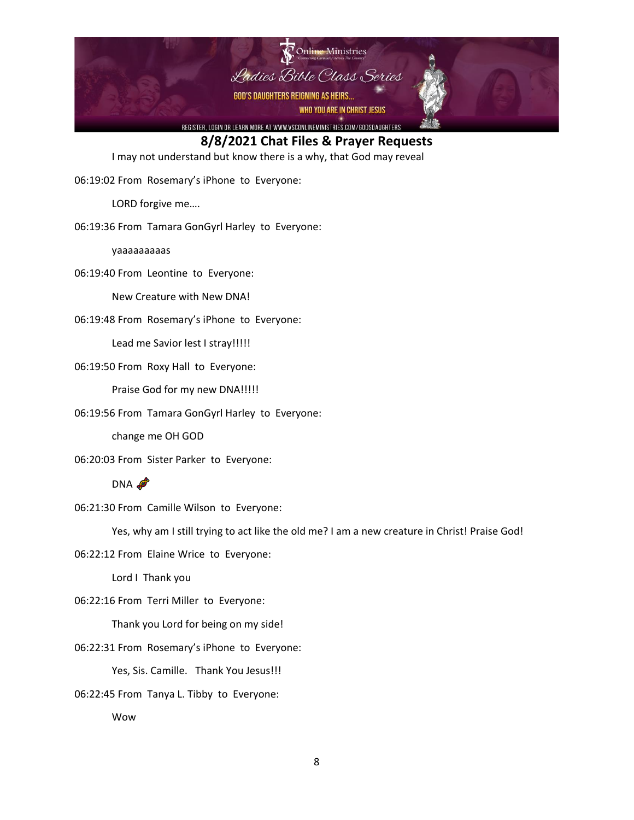

I may not understand but know there is a why, that God may reveal

06:19:02 From Rosemary's iPhone to Everyone:

LORD forgive me….

06:19:36 From Tamara GonGyrl Harley to Everyone:

yaaaaaaaaas

06:19:40 From Leontine to Everyone:

New Creature with New DNA!

06:19:48 From Rosemary's iPhone to Everyone:

Lead me Savior lest I stray!!!!!

06:19:50 From Roxy Hall to Everyone:

Praise God for my new DNA!!!!!

06:19:56 From Tamara GonGyrl Harley to Everyone:

change me OH GOD

06:20:03 From Sister Parker to Everyone:

DNA

06:21:30 From Camille Wilson to Everyone:

Yes, why am I still trying to act like the old me? I am a new creature in Christ! Praise God!

06:22:12 From Elaine Wrice to Everyone:

Lord I Thank you

06:22:16 From Terri Miller to Everyone:

Thank you Lord for being on my side!

06:22:31 From Rosemary's iPhone to Everyone:

Yes, Sis. Camille. Thank You Jesus!!!

06:22:45 From Tanya L. Tibby to Everyone:

Wow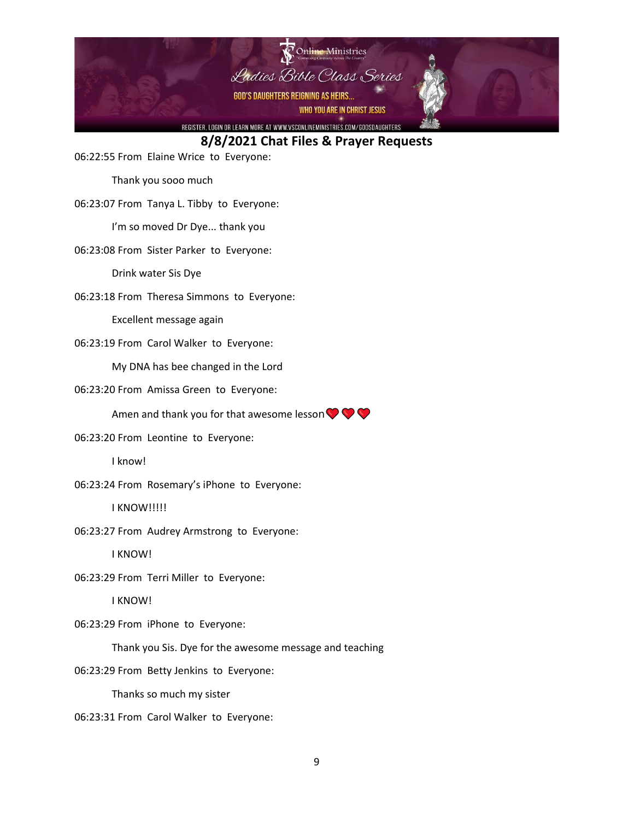

06:22:55 From Elaine Wrice to Everyone:

Thank you sooo much

06:23:07 From Tanya L. Tibby to Everyone:

I'm so moved Dr Dye... thank you

06:23:08 From Sister Parker to Everyone:

Drink water Sis Dye

06:23:18 From Theresa Simmons to Everyone:

Excellent message again

06:23:19 From Carol Walker to Everyone:

My DNA has bee changed in the Lord

06:23:20 From Amissa Green to Everyone:

Amen and thank you for that awesome lesson  $\bigcirc \bigcirc \bigcirc$ 

06:23:20 From Leontine to Everyone:

I know!

06:23:24 From Rosemary's iPhone to Everyone:

I KNOW!!!!!

06:23:27 From Audrey Armstrong to Everyone:

I KNOW!

06:23:29 From Terri Miller to Everyone:

I KNOW!

06:23:29 From iPhone to Everyone:

Thank you Sis. Dye for the awesome message and teaching

06:23:29 From Betty Jenkins to Everyone:

Thanks so much my sister

06:23:31 From Carol Walker to Everyone: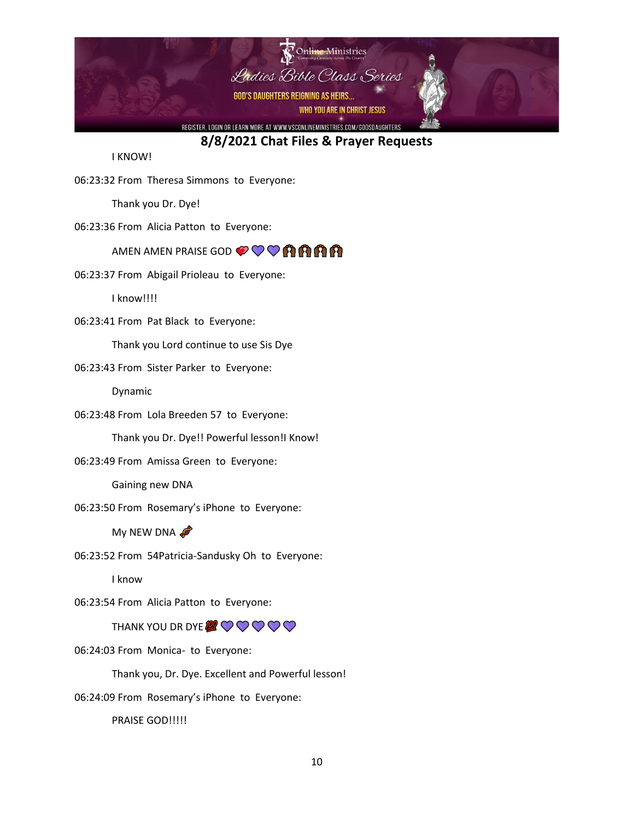

I KNOW!

06:23:32 From Theresa Simmons to Everyone:

Thank you Dr. Dye!

06:23:36 From Alicia Patton to Everyone:

#### AMEN AMEN PRAISE GOD  $\mathcal{O}\bigcirc\mathcal{O}$   $\mathcal{O}$   $\mathcal{O}$   $\mathbf{\hat{H}}$   $\mathbf{\hat{H}}$

06:23:37 From Abigail Prioleau to Everyone:

I know!!!!

06:23:41 From Pat Black to Everyone:

Thank you Lord continue to use Sis Dye

06:23:43 From Sister Parker to Everyone:

Dynamic

06:23:48 From Lola Breeden 57 to Everyone:

Thank you Dr. Dye!! Powerful lesson!I Know!

06:23:49 From Amissa Green to Everyone:

Gaining new DNA

06:23:50 From Rosemary's iPhone to Everyone:

My NEW DNA

06:23:52 From 54Patricia-Sandusky Oh to Everyone:

I know

06:23:54 From Alicia Patton to Everyone:

THANK YOU DR DYE  $\mathcal{Q} \bigcirc \bigcirc \bigcirc \bigcirc \bigcirc \bigcirc$ 

06:24:03 From Monica- to Everyone:

Thank you, Dr. Dye. Excellent and Powerful lesson!

06:24:09 From Rosemary's iPhone to Everyone:

PRAISE GOD!!!!!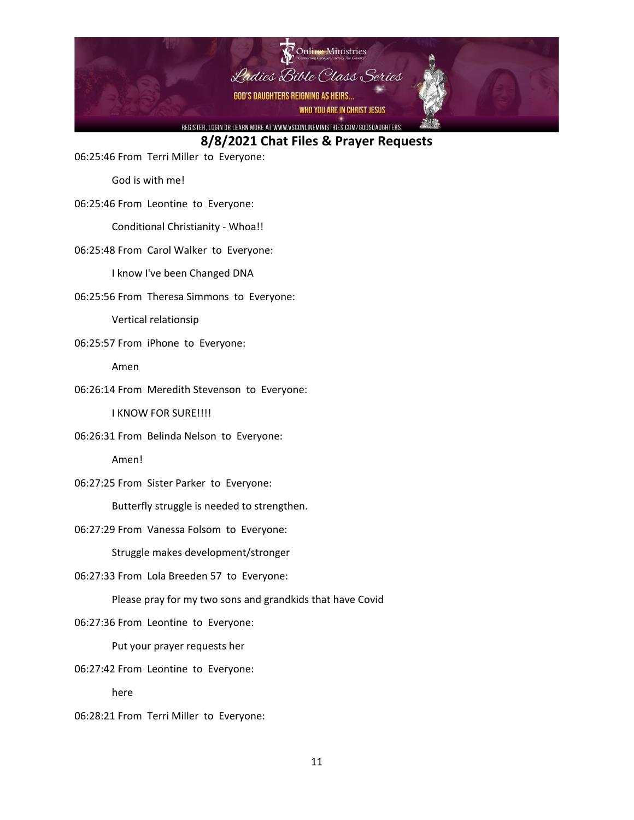

06:25:46 From Terri Miller to Everyone:

God is with me!

06:25:46 From Leontine to Everyone:

Conditional Christianity - Whoa!!

06:25:48 From Carol Walker to Everyone:

I know I've been Changed DNA

06:25:56 From Theresa Simmons to Everyone:

Vertical relationsip

06:25:57 From iPhone to Everyone:

Amen

06:26:14 From Meredith Stevenson to Everyone:

I KNOW FOR SURE!!!!

06:26:31 From Belinda Nelson to Everyone:

Amen!

06:27:25 From Sister Parker to Everyone:

Butterfly struggle is needed to strengthen.

06:27:29 From Vanessa Folsom to Everyone:

Struggle makes development/stronger

06:27:33 From Lola Breeden 57 to Everyone:

Please pray for my two sons and grandkids that have Covid

06:27:36 From Leontine to Everyone:

Put your prayer requests her

06:27:42 From Leontine to Everyone:

here

06:28:21 From Terri Miller to Everyone: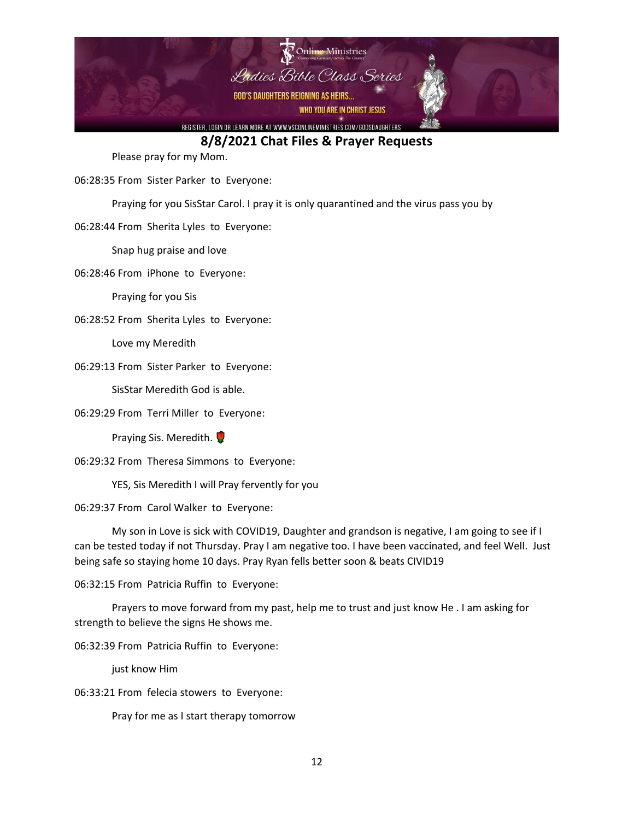

Please pray for my Mom.

06:28:35 From Sister Parker to Everyone:

Praying for you SisStar Carol. I pray it is only quarantined and the virus pass you by

06:28:44 From Sherita Lyles to Everyone:

Snap hug praise and love

06:28:46 From iPhone to Everyone:

Praying for you Sis

06:28:52 From Sherita Lyles to Everyone:

Love my Meredith

06:29:13 From Sister Parker to Everyone:

SisStar Meredith God is able.

06:29:29 From Terri Miller to Everyone:

Praying Sis. Meredith.

06:29:32 From Theresa Simmons to Everyone:

YES, Sis Meredith I will Pray fervently for you

06:29:37 From Carol Walker to Everyone:

My son in Love is sick with COVID19, Daughter and grandson is negative, I am going to see if I can be tested today if not Thursday. Pray I am negative too. I have been vaccinated, and feel Well. Just being safe so staying home 10 days. Pray Ryan fells better soon & beats CIVID19

06:32:15 From Patricia Ruffin to Everyone:

Prayers to move forward from my past, help me to trust and just know He . I am asking for strength to believe the signs He shows me.

06:32:39 From Patricia Ruffin to Everyone:

just know Him

06:33:21 From felecia stowers to Everyone:

Pray for me as I start therapy tomorrow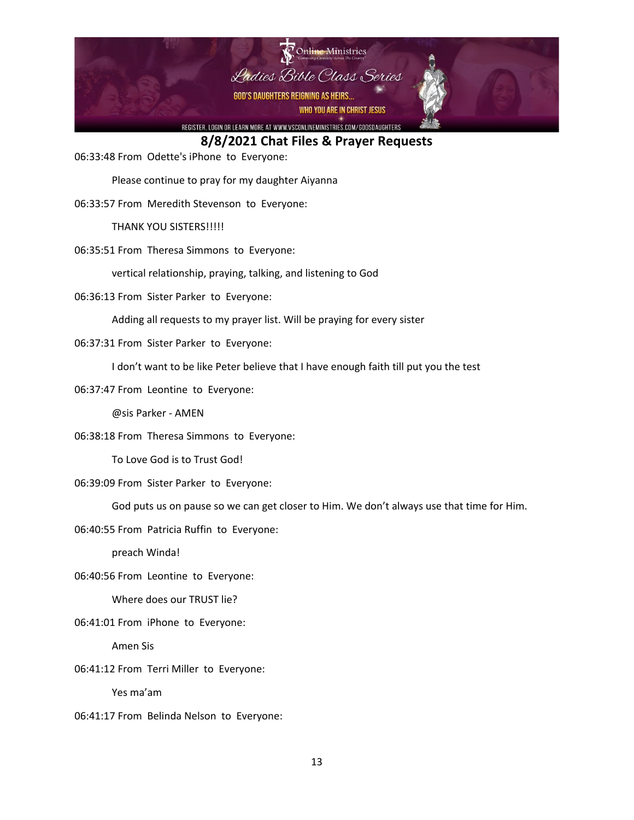

06:33:48 From Odette's iPhone to Everyone:

Please continue to pray for my daughter Aiyanna

06:33:57 From Meredith Stevenson to Everyone:

THANK YOU SISTERS!!!!!

06:35:51 From Theresa Simmons to Everyone:

vertical relationship, praying, talking, and listening to God

06:36:13 From Sister Parker to Everyone:

Adding all requests to my prayer list. Will be praying for every sister

06:37:31 From Sister Parker to Everyone:

I don't want to be like Peter believe that I have enough faith till put you the test

06:37:47 From Leontine to Everyone:

@sis Parker - AMEN

06:38:18 From Theresa Simmons to Everyone:

To Love God is to Trust God!

06:39:09 From Sister Parker to Everyone:

God puts us on pause so we can get closer to Him. We don't always use that time for Him.

06:40:55 From Patricia Ruffin to Everyone:

preach Winda!

06:40:56 From Leontine to Everyone:

Where does our TRUST lie?

06:41:01 From iPhone to Everyone:

Amen Sis

06:41:12 From Terri Miller to Everyone:

Yes ma'am

06:41:17 From Belinda Nelson to Everyone: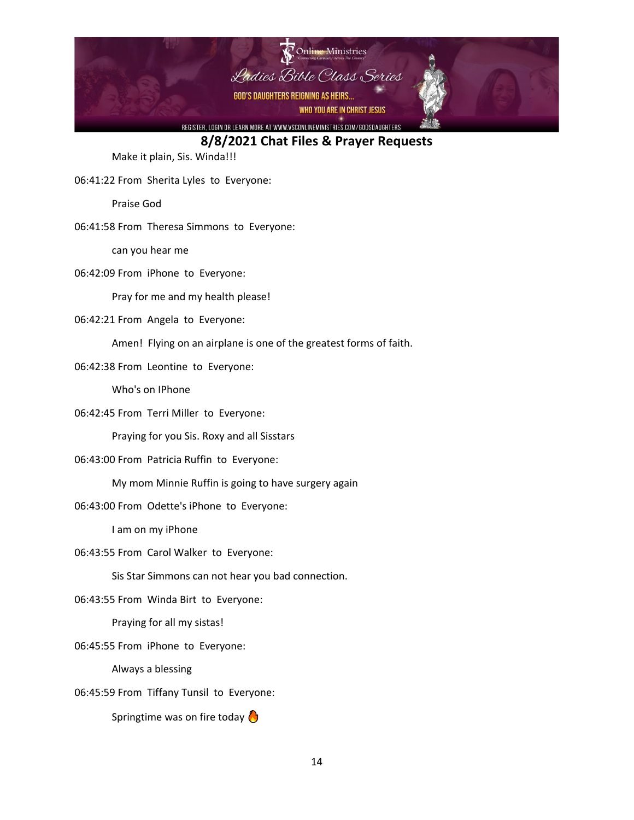

Make it plain, Sis. Winda!!!

06:41:22 From Sherita Lyles to Everyone:

Praise God

06:41:58 From Theresa Simmons to Everyone:

can you hear me

06:42:09 From iPhone to Everyone:

Pray for me and my health please!

06:42:21 From Angela to Everyone:

Amen! Flying on an airplane is one of the greatest forms of faith.

06:42:38 From Leontine to Everyone:

Who's on IPhone

06:42:45 From Terri Miller to Everyone:

Praying for you Sis. Roxy and all Sisstars

06:43:00 From Patricia Ruffin to Everyone:

My mom Minnie Ruffin is going to have surgery again

06:43:00 From Odette's iPhone to Everyone:

I am on my iPhone

06:43:55 From Carol Walker to Everyone:

Sis Star Simmons can not hear you bad connection.

06:43:55 From Winda Birt to Everyone:

Praying for all my sistas!

06:45:55 From iPhone to Everyone:

Always a blessing

06:45:59 From Tiffany Tunsil to Everyone:

Springtime was on fire today  $\bigcirc$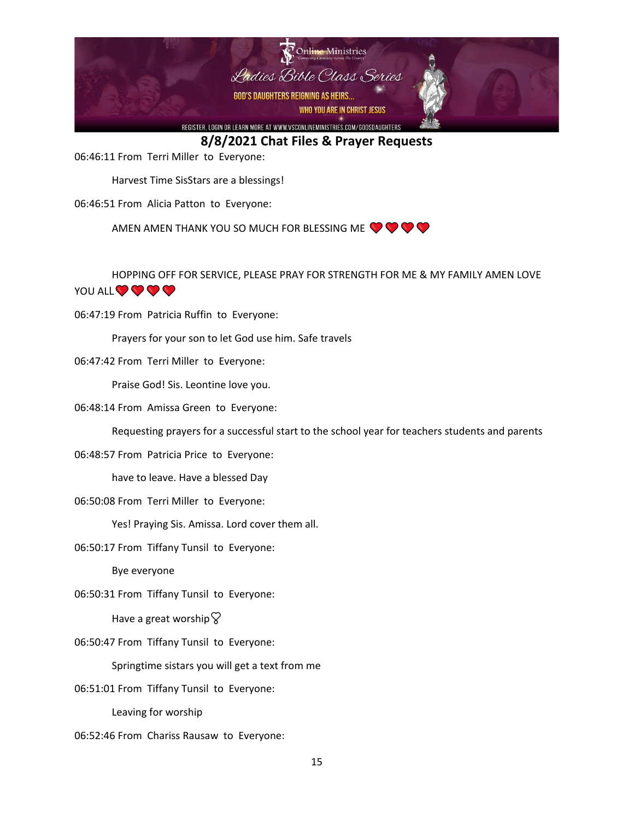

06:46:11 From Terri Miller to Everyone:

Harvest Time SisStars are a blessings!

06:46:51 From Alicia Patton to Everyone:

AMEN AMEN THANK YOU SO MUCH FOR BLESSING ME  $\bigcirc \bigcirc \bigcirc$ 

HOPPING OFF FOR SERVICE, PLEASE PRAY FOR STRENGTH FOR ME & MY FAMILY AMEN LOVE YOU ALL V V V V

06:47:19 From Patricia Ruffin to Everyone:

Prayers for your son to let God use him. Safe travels

06:47:42 From Terri Miller to Everyone:

Praise God! Sis. Leontine love you.

06:48:14 From Amissa Green to Everyone:

Requesting prayers for a successful start to the school year for teachers students and parents

06:48:57 From Patricia Price to Everyone:

have to leave. Have a blessed Day

06:50:08 From Terri Miller to Everyone:

Yes! Praying Sis. Amissa. Lord cover them all.

06:50:17 From Tiffany Tunsil to Everyone:

Bye everyone

06:50:31 From Tiffany Tunsil to Everyone:

Have a great worship  $\heartsuit$ 

06:50:47 From Tiffany Tunsil to Everyone:

Springtime sistars you will get a text from me

06:51:01 From Tiffany Tunsil to Everyone:

Leaving for worship

06:52:46 From Chariss Rausaw to Everyone: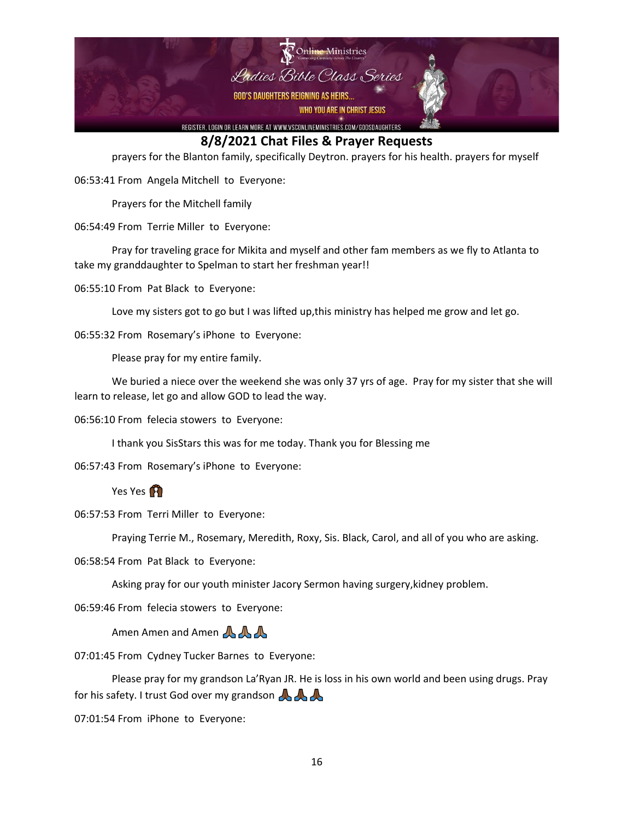

prayers for the Blanton family, specifically Deytron. prayers for his health. prayers for myself

06:53:41 From Angela Mitchell to Everyone:

Prayers for the Mitchell family

06:54:49 From Terrie Miller to Everyone:

Pray for traveling grace for Mikita and myself and other fam members as we fly to Atlanta to take my granddaughter to Spelman to start her freshman year!!

06:55:10 From Pat Black to Everyone:

Love my sisters got to go but I was lifted up,this ministry has helped me grow and let go.

06:55:32 From Rosemary's iPhone to Everyone:

Please pray for my entire family.

We buried a niece over the weekend she was only 37 yrs of age. Pray for my sister that she will learn to release, let go and allow GOD to lead the way.

06:56:10 From felecia stowers to Everyone:

I thank you SisStars this was for me today. Thank you for Blessing me

06:57:43 From Rosemary's iPhone to Everyone:

Yes Yes **A** 

06:57:53 From Terri Miller to Everyone:

Praying Terrie M., Rosemary, Meredith, Roxy, Sis. Black, Carol, and all of you who are asking.

06:58:54 From Pat Black to Everyone:

Asking pray for our youth minister Jacory Sermon having surgery,kidney problem.

06:59:46 From felecia stowers to Everyone:

Amen Amen and Amen AAA

07:01:45 From Cydney Tucker Barnes to Everyone:

Please pray for my grandson La'Ryan JR. He is loss in his own world and been using drugs. Pray for his safety. I trust God over my grandson

07:01:54 From iPhone to Everyone: